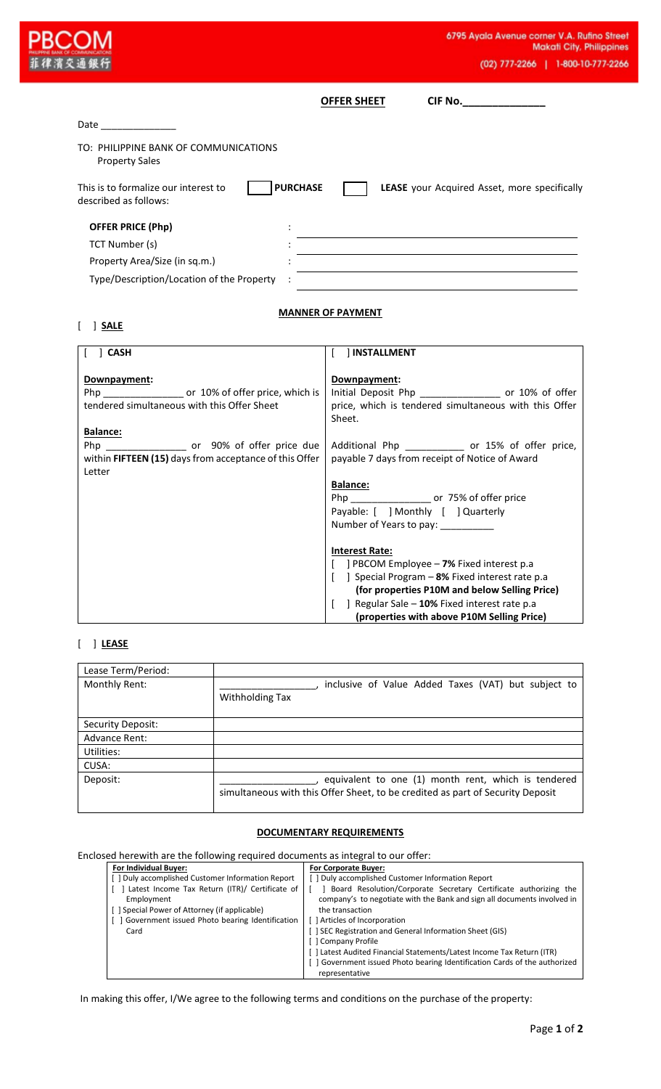|                                                                                                                                                                                                                                | 6795 Ayala Avenue corner V.A. Rufino Stre<br><b>Makati City, Philippin</b><br>(02) 777-2266   1-800-10-777-22                             |
|--------------------------------------------------------------------------------------------------------------------------------------------------------------------------------------------------------------------------------|-------------------------------------------------------------------------------------------------------------------------------------------|
|                                                                                                                                                                                                                                | CIF No._______________<br><b>OFFER SHEET</b>                                                                                              |
| Date and the second second second second second second second second second second second second second second second second second second second second second second second second second second second second second second |                                                                                                                                           |
| TO: PHILIPPINE BANK OF COMMUNICATIONS<br><b>Property Sales</b>                                                                                                                                                                 |                                                                                                                                           |
| <b>PURCHASE</b><br>This is to formalize our interest to<br>described as follows:                                                                                                                                               | LEASE your Acquired Asset, more specifically                                                                                              |
| <b>OFFER PRICE (Php)</b>                                                                                                                                                                                                       |                                                                                                                                           |
| TCT Number (s)                                                                                                                                                                                                                 | <u> 1989 - Johann Barbara, martxa alemaniar amerikan a</u>                                                                                |
| Property Area/Size (in sq.m.)                                                                                                                                                                                                  | <u> 1980 - Johann Barn, mars ann an t-Amhain Aonaichte ann an t-Amhain Aonaichte ann an t-Amhain Aonaichte ann an</u>                     |
| Type/Description/Location of the Property                                                                                                                                                                                      |                                                                                                                                           |
| $[$ $]$ CASH                                                                                                                                                                                                                   | [ ] INSTALLMENT                                                                                                                           |
|                                                                                                                                                                                                                                |                                                                                                                                           |
|                                                                                                                                                                                                                                |                                                                                                                                           |
| Downpayment:<br>Php ___________________ or 10% of offer price, which is<br>tendered simultaneous with this Offer Sheet                                                                                                         | Downpayment:<br>Initial Deposit Php __________________ or 10% of offer<br>price, which is tendered simultaneous with this Offer<br>Sheet. |
| Balance:                                                                                                                                                                                                                       |                                                                                                                                           |
| within FIFTEEN (15) days from acceptance of this Offer                                                                                                                                                                         | Additional Php ____________ or 15% of offer price,<br>payable 7 days from receipt of Notice of Award                                      |
| Letter                                                                                                                                                                                                                         | Balance:                                                                                                                                  |
|                                                                                                                                                                                                                                | or 75% of offer price<br>Php                                                                                                              |
|                                                                                                                                                                                                                                | Payable: [ ] Monthly [ ] Quarterly                                                                                                        |
|                                                                                                                                                                                                                                | Number of Years to pay: __________                                                                                                        |
|                                                                                                                                                                                                                                | <b>Interest Rate:</b>                                                                                                                     |
|                                                                                                                                                                                                                                | PBCOM Employee - 7% Fixed interest p.a<br>] Special Program - 8% Fixed interest rate p.a                                                  |
|                                                                                                                                                                                                                                | (for properties P10M and below Selling Price)<br>Regular Sale - 10% Fixed interest rate p.a                                               |

## [ ] **LEASE**

| Lease Term/Period: |                                                                                                                                       |
|--------------------|---------------------------------------------------------------------------------------------------------------------------------------|
| Monthly Rent:      | inclusive of Value Added Taxes (VAT) but subject to<br>Withholding Tax                                                                |
| Security Deposit:  |                                                                                                                                       |
| Advance Rent:      |                                                                                                                                       |
| Utilities:         |                                                                                                                                       |
| CUSA:              |                                                                                                                                       |
| Deposit:           | equivalent to one (1) month rent, which is tendered<br>simultaneous with this Offer Sheet, to be credited as part of Security Deposit |

## **DOCUMENTARY REQUIREMENTS**

## Enclosed herewith are the following required documents as integral to our offer:

| For Individual Buyer:                            | <b>For Corporate Buyer:</b>                                                |
|--------------------------------------------------|----------------------------------------------------------------------------|
| [] Duly accomplished Customer Information Report | [1] Duly accomplished Customer Information Report                          |
| Latest Income Tax Return (ITR)/ Certificate of   | Board Resolution/Corporate Secretary Certificate authorizing the           |
| Employment                                       | company's to negotiate with the Bank and sign all documents involved in    |
| [ ] Special Power of Attorney (if applicable)    | the transaction                                                            |
| Government issued Photo bearing Identification   | [ ] Articles of Incorporation                                              |
| Card                                             | [] SEC Registration and General Information Sheet (GIS)                    |
|                                                  | [] Company Profile                                                         |
|                                                  | [ ] Latest Audited Financial Statements/Latest Income Tax Return (ITR)     |
|                                                  | [ ] Government issued Photo bearing Identification Cards of the authorized |
|                                                  | representative                                                             |

In making this offer, I/We agree to the following terms and conditions on the purchase of the property: